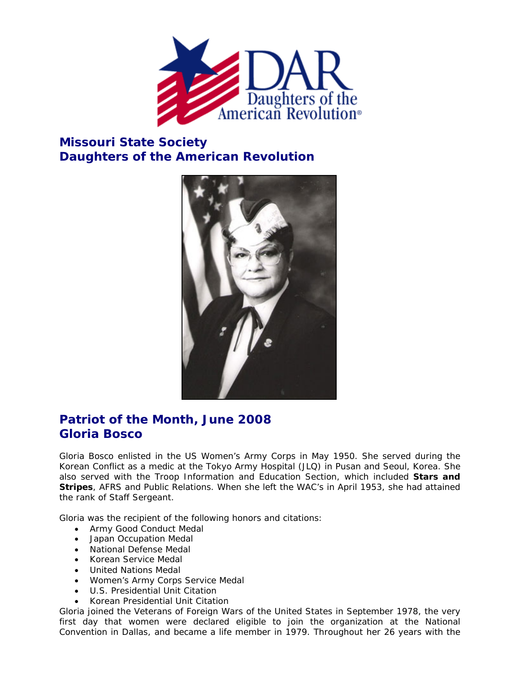

## **Missouri State Society Daughters of the American Revolution**



## **Patriot of the Month, June 2008 Gloria Bosco**

Gloria Bosco enlisted in the US Women's Army Corps in May 1950. She served during the Korean Conflict as a medic at the Tokyo Army Hospital (JLQ) in Pusan and Seoul, Korea. She also served with the Troop Information and Education Section, which included *Stars and Stripes*, AFRS and Public Relations. When she left the WAC's in April 1953, she had attained the rank of Staff Sergeant.

Gloria was the recipient of the following honors and citations:

- Army Good Conduct Medal
- Japan Occupation Medal
- National Defense Medal
- Korean Service Medal
- United Nations Medal
- Women's Army Corps Service Medal
- U.S. Presidential Unit Citation
- Korean Presidential Unit Citation

Gloria joined the Veterans of Foreign Wars of the United States in September 1978, the very first day that women were declared eligible to join the organization at the National Convention in Dallas, and became a life member in 1979. Throughout her 26 years with the